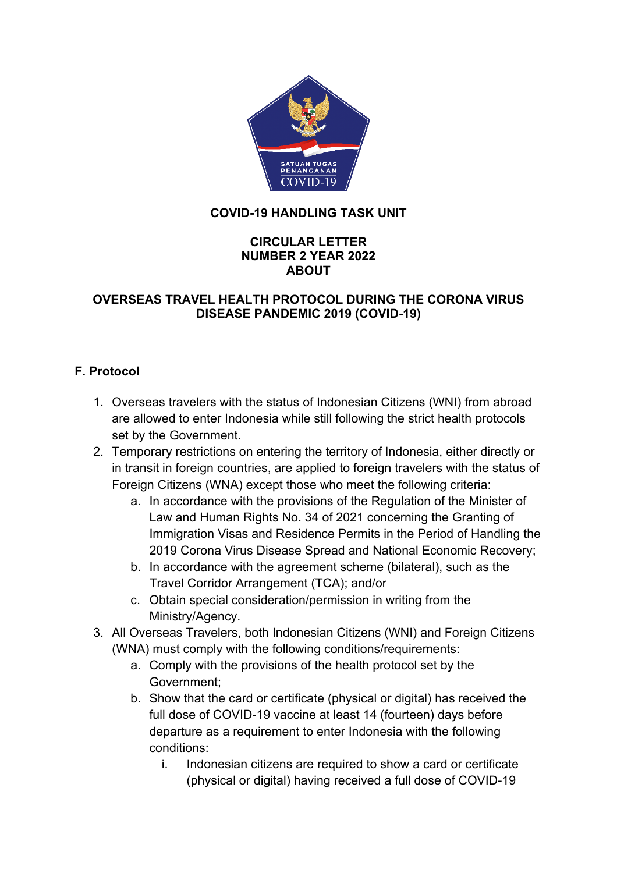

### **COVID-19 HANDLING TASK UNIT**

#### **CIRCULAR LETTER NUMBER 2 YEAR 2022 ABOUT**

### **OVERSEAS TRAVEL HEALTH PROTOCOL DURING THE CORONA VIRUS DISEASE PANDEMIC 2019 (COVID-19)**

## **F. Protocol**

- 1. Overseas travelers with the status of Indonesian Citizens (WNI) from abroad are allowed to enter Indonesia while still following the strict health protocols set by the Government.
- 2. Temporary restrictions on entering the territory of Indonesia, either directly or in transit in foreign countries, are applied to foreign travelers with the status of Foreign Citizens (WNA) except those who meet the following criteria:
	- a. In accordance with the provisions of the Regulation of the Minister of Law and Human Rights No. 34 of 2021 concerning the Granting of Immigration Visas and Residence Permits in the Period of Handling the 2019 Corona Virus Disease Spread and National Economic Recovery;
	- b. In accordance with the agreement scheme (bilateral), such as the Travel Corridor Arrangement (TCA); and/or
	- c. Obtain special consideration/permission in writing from the Ministry/Agency.
- 3. All Overseas Travelers, both Indonesian Citizens (WNI) and Foreign Citizens (WNA) must comply with the following conditions/requirements:
	- a. Comply with the provisions of the health protocol set by the Government;
	- b. Show that the card or certificate (physical or digital) has received the full dose of COVID-19 vaccine at least 14 (fourteen) days before departure as a requirement to enter Indonesia with the following conditions:
		- i. Indonesian citizens are required to show a card or certificate (physical or digital) having received a full dose of COVID-19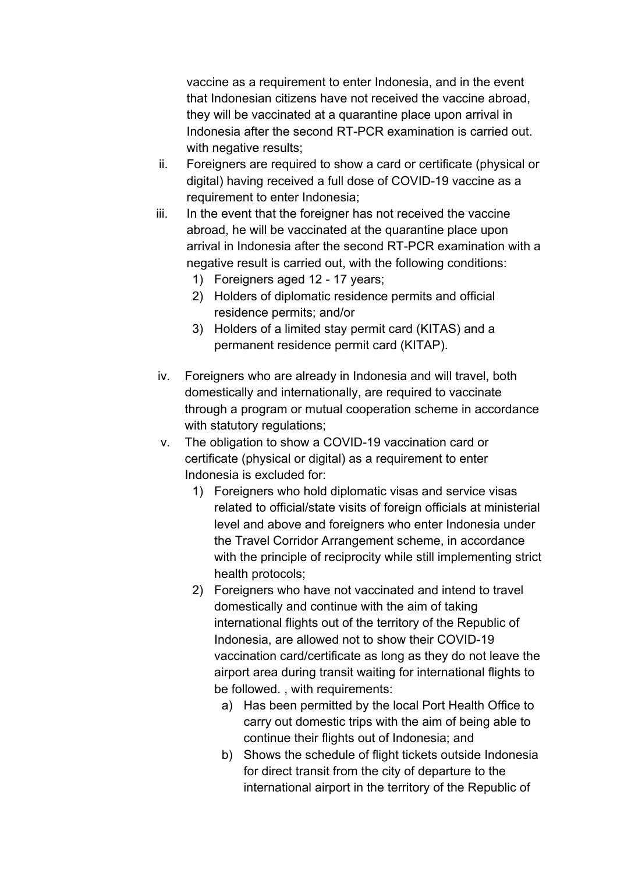vaccine as a requirement to enter Indonesia, and in the event that Indonesian citizens have not received the vaccine abroad, they will be vaccinated at a quarantine place upon arrival in Indonesia after the second RT-PCR examination is carried out. with negative results;

- ii. Foreigners are required to show a card or certificate (physical or digital) having received a full dose of COVID-19 vaccine as a requirement to enter Indonesia;
- iii. In the event that the foreigner has not received the vaccine abroad, he will be vaccinated at the quarantine place upon arrival in Indonesia after the second RT-PCR examination with a negative result is carried out, with the following conditions:
	- 1) Foreigners aged 12 17 years;
	- 2) Holders of diplomatic residence permits and official residence permits; and/or
	- 3) Holders of a limited stay permit card (KITAS) and a permanent residence permit card (KITAP).
- iv. Foreigners who are already in Indonesia and will travel, both domestically and internationally, are required to vaccinate through a program or mutual cooperation scheme in accordance with statutory regulations;
- v. The obligation to show a COVID-19 vaccination card or certificate (physical or digital) as a requirement to enter Indonesia is excluded for:
	- 1) Foreigners who hold diplomatic visas and service visas related to official/state visits of foreign officials at ministerial level and above and foreigners who enter Indonesia under the Travel Corridor Arrangement scheme, in accordance with the principle of reciprocity while still implementing strict health protocols;
	- 2) Foreigners who have not vaccinated and intend to travel domestically and continue with the aim of taking international flights out of the territory of the Republic of Indonesia, are allowed not to show their COVID-19 vaccination card/certificate as long as they do not leave the airport area during transit waiting for international flights to be followed. , with requirements:
		- a) Has been permitted by the local Port Health Office to carry out domestic trips with the aim of being able to continue their flights out of Indonesia; and
		- b) Shows the schedule of flight tickets outside Indonesia for direct transit from the city of departure to the international airport in the territory of the Republic of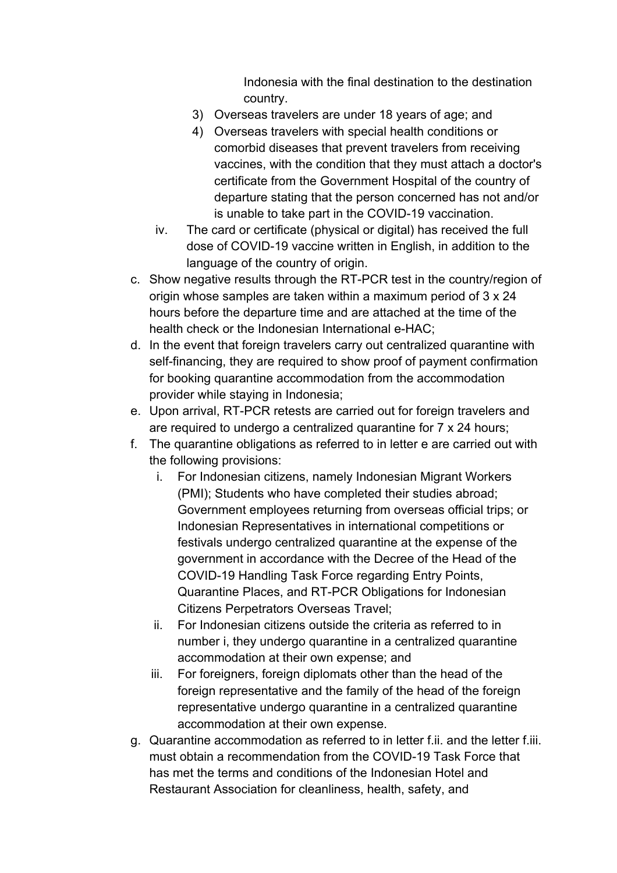Indonesia with the final destination to the destination country.

- 3) Overseas travelers are under 18 years of age; and
- 4) Overseas travelers with special health conditions or comorbid diseases that prevent travelers from receiving vaccines, with the condition that they must attach a doctor's certificate from the Government Hospital of the country of departure stating that the person concerned has not and/or is unable to take part in the COVID-19 vaccination.
- iv. The card or certificate (physical or digital) has received the full dose of COVID-19 vaccine written in English, in addition to the language of the country of origin.
- c. Show negative results through the RT-PCR test in the country/region of origin whose samples are taken within a maximum period of 3 x 24 hours before the departure time and are attached at the time of the health check or the Indonesian International e-HAC;
- d. In the event that foreign travelers carry out centralized quarantine with self-financing, they are required to show proof of payment confirmation for booking quarantine accommodation from the accommodation provider while staying in Indonesia;
- e. Upon arrival, RT-PCR retests are carried out for foreign travelers and are required to undergo a centralized quarantine for 7 x 24 hours;
- f. The quarantine obligations as referred to in letter e are carried out with the following provisions:
	- i. For Indonesian citizens, namely Indonesian Migrant Workers (PMI); Students who have completed their studies abroad; Government employees returning from overseas official trips; or Indonesian Representatives in international competitions or festivals undergo centralized quarantine at the expense of the government in accordance with the Decree of the Head of the COVID-19 Handling Task Force regarding Entry Points, Quarantine Places, and RT-PCR Obligations for Indonesian Citizens Perpetrators Overseas Travel;
	- ii. For Indonesian citizens outside the criteria as referred to in number i, they undergo quarantine in a centralized quarantine accommodation at their own expense; and
	- iii. For foreigners, foreign diplomats other than the head of the foreign representative and the family of the head of the foreign representative undergo quarantine in a centralized quarantine accommodation at their own expense.
- g. Quarantine accommodation as referred to in letter f.ii. and the letter f.iii. must obtain a recommendation from the COVID-19 Task Force that has met the terms and conditions of the Indonesian Hotel and Restaurant Association for cleanliness, health, safety, and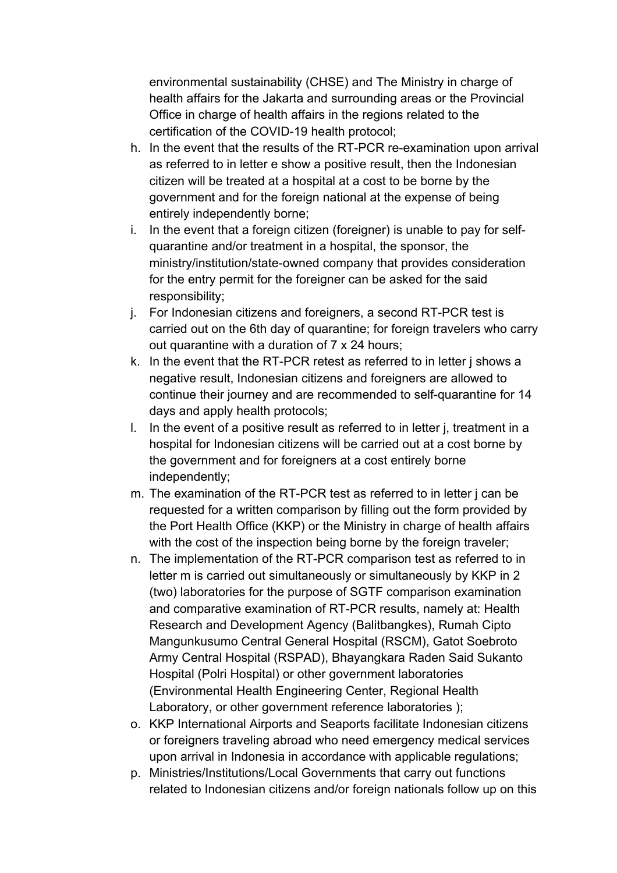environmental sustainability (CHSE) and The Ministry in charge of health affairs for the Jakarta and surrounding areas or the Provincial Office in charge of health affairs in the regions related to the certification of the COVID-19 health protocol;

- h. In the event that the results of the RT-PCR re-examination upon arrival as referred to in letter e show a positive result, then the Indonesian citizen will be treated at a hospital at a cost to be borne by the government and for the foreign national at the expense of being entirely independently borne;
- i. In the event that a foreign citizen (foreigner) is unable to pay for selfquarantine and/or treatment in a hospital, the sponsor, the ministry/institution/state-owned company that provides consideration for the entry permit for the foreigner can be asked for the said responsibility;
- j. For Indonesian citizens and foreigners, a second RT-PCR test is carried out on the 6th day of quarantine; for foreign travelers who carry out quarantine with a duration of 7 x 24 hours;
- k. In the event that the RT-PCR retest as referred to in letter j shows a negative result, Indonesian citizens and foreigners are allowed to continue their journey and are recommended to self-quarantine for 14 days and apply health protocols;
- l. In the event of a positive result as referred to in letter j, treatment in a hospital for Indonesian citizens will be carried out at a cost borne by the government and for foreigners at a cost entirely borne independently;
- m. The examination of the RT-PCR test as referred to in letter j can be requested for a written comparison by filling out the form provided by the Port Health Office (KKP) or the Ministry in charge of health affairs with the cost of the inspection being borne by the foreign traveler;
- n. The implementation of the RT-PCR comparison test as referred to in letter m is carried out simultaneously or simultaneously by KKP in 2 (two) laboratories for the purpose of SGTF comparison examination and comparative examination of RT-PCR results, namely at: Health Research and Development Agency (Balitbangkes), Rumah Cipto Mangunkusumo Central General Hospital (RSCM), Gatot Soebroto Army Central Hospital (RSPAD), Bhayangkara Raden Said Sukanto Hospital (Polri Hospital) or other government laboratories (Environmental Health Engineering Center, Regional Health Laboratory, or other government reference laboratories );
- o. KKP International Airports and Seaports facilitate Indonesian citizens or foreigners traveling abroad who need emergency medical services upon arrival in Indonesia in accordance with applicable regulations;
- p. Ministries/Institutions/Local Governments that carry out functions related to Indonesian citizens and/or foreign nationals follow up on this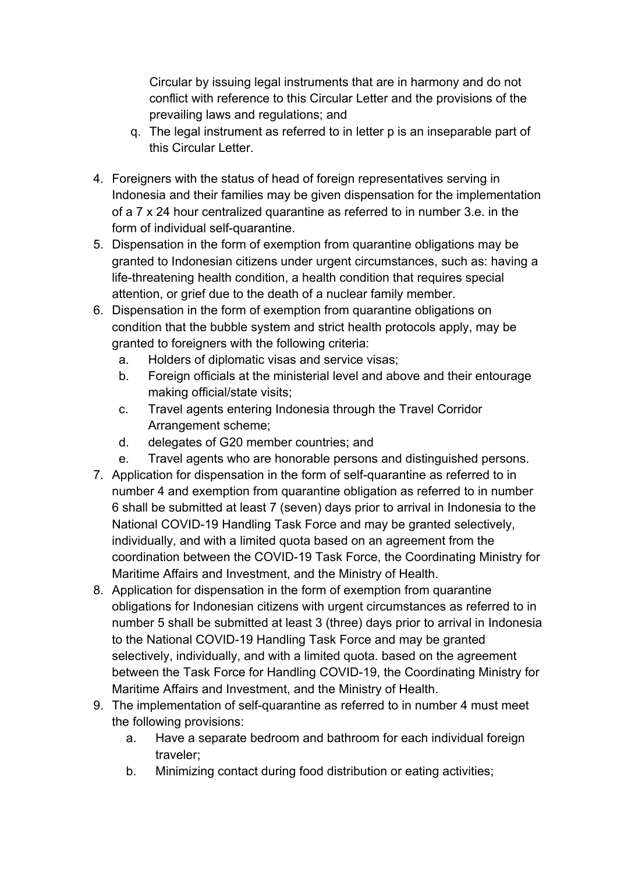Circular by issuing legal instruments that are in harmony and do not conflict with reference to this Circular Letter and the provisions of the prevailing laws and regulations; and

- q. The legal instrument as referred to in letter p is an inseparable part of this Circular Letter.
- 4. Foreigners with the status of head of foreign representatives serving in Indonesia and their families may be given dispensation for the implementation of a 7 x 24 hour centralized quarantine as referred to in number 3.e. in the form of individual self-quarantine.
- 5. Dispensation in the form of exemption from quarantine obligations may be granted to Indonesian citizens under urgent circumstances, such as: having a life-threatening health condition, a health condition that requires special attention, or grief due to the death of a nuclear family member.
- 6. Dispensation in the form of exemption from quarantine obligations on condition that the bubble system and strict health protocols apply, may be granted to foreigners with the following criteria:
	- a. Holders of diplomatic visas and service visas;
	- b. Foreign officials at the ministerial level and above and their entourage making official/state visits;
	- c. Travel agents entering Indonesia through the Travel Corridor Arrangement scheme;
	- d. delegates of G20 member countries; and
	- e. Travel agents who are honorable persons and distinguished persons.
- 7. Application for dispensation in the form of self-quarantine as referred to in number 4 and exemption from quarantine obligation as referred to in number 6 shall be submitted at least 7 (seven) days prior to arrival in Indonesia to the National COVID-19 Handling Task Force and may be granted selectively, individually, and with a limited quota based on an agreement from the coordination between the COVID-19 Task Force, the Coordinating Ministry for Maritime Affairs and Investment, and the Ministry of Health.
- 8. Application for dispensation in the form of exemption from quarantine obligations for Indonesian citizens with urgent circumstances as referred to in number 5 shall be submitted at least 3 (three) days prior to arrival in Indonesia to the National COVID-19 Handling Task Force and may be granted selectively, individually, and with a limited quota. based on the agreement between the Task Force for Handling COVID-19, the Coordinating Ministry for Maritime Affairs and Investment, and the Ministry of Health.
- 9. The implementation of self-quarantine as referred to in number 4 must meet the following provisions:
	- a. Have a separate bedroom and bathroom for each individual foreign traveler;
	- b. Minimizing contact during food distribution or eating activities;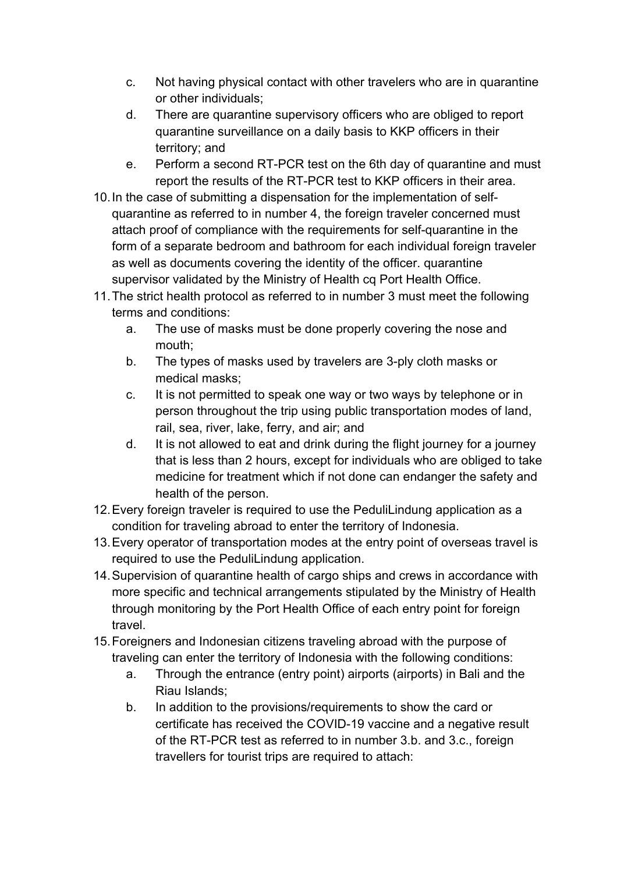- c. Not having physical contact with other travelers who are in quarantine or other individuals;
- d. There are quarantine supervisory officers who are obliged to report quarantine surveillance on a daily basis to KKP officers in their territory; and
- e. Perform a second RT-PCR test on the 6th day of quarantine and must report the results of the RT-PCR test to KKP officers in their area.
- 10.In the case of submitting a dispensation for the implementation of selfquarantine as referred to in number 4, the foreign traveler concerned must attach proof of compliance with the requirements for self-quarantine in the form of a separate bedroom and bathroom for each individual foreign traveler as well as documents covering the identity of the officer. quarantine supervisor validated by the Ministry of Health cq Port Health Office.
- 11.The strict health protocol as referred to in number 3 must meet the following terms and conditions:
	- a. The use of masks must be done properly covering the nose and mouth;
	- b. The types of masks used by travelers are 3-ply cloth masks or medical masks;
	- c. It is not permitted to speak one way or two ways by telephone or in person throughout the trip using public transportation modes of land, rail, sea, river, lake, ferry, and air; and
	- d. It is not allowed to eat and drink during the flight journey for a journey that is less than 2 hours, except for individuals who are obliged to take medicine for treatment which if not done can endanger the safety and health of the person.
- 12.Every foreign traveler is required to use the PeduliLindung application as a condition for traveling abroad to enter the territory of Indonesia.
- 13.Every operator of transportation modes at the entry point of overseas travel is required to use the PeduliLindung application.
- 14.Supervision of quarantine health of cargo ships and crews in accordance with more specific and technical arrangements stipulated by the Ministry of Health through monitoring by the Port Health Office of each entry point for foreign travel.
- 15.Foreigners and Indonesian citizens traveling abroad with the purpose of traveling can enter the territory of Indonesia with the following conditions:
	- a. Through the entrance (entry point) airports (airports) in Bali and the Riau Islands;
	- b. In addition to the provisions/requirements to show the card or certificate has received the COVID-19 vaccine and a negative result of the RT-PCR test as referred to in number 3.b. and 3.c., foreign travellers for tourist trips are required to attach: